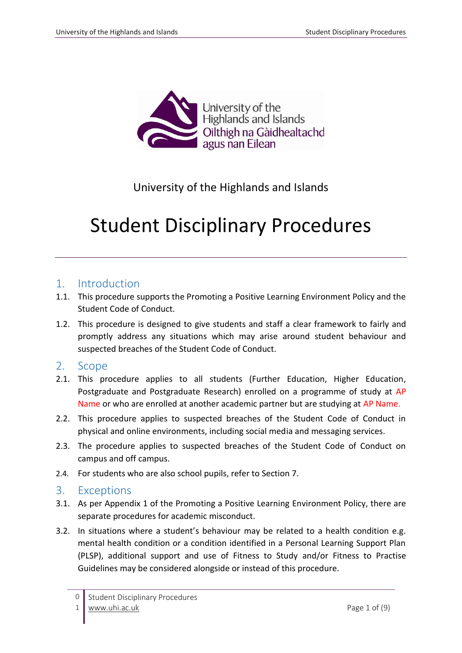

## University of the Highlands and Islands

# Student Disciplinary Procedures

## 1. Introduction

- 1.1. This procedure supports the Promoting a Positive Learning Environment Policy and the Student Code of Conduct.
- 1.2. This procedure is designed to give students and staff a clear framework to fairly and promptly address any situations which may arise around student behaviour and suspected breaches of the Student Code of Conduct.

## 2. Scope

- 2.1. This procedure applies to all students (Further Education, Higher Education, Postgraduate and Postgraduate Research) enrolled on a programme of study at AP Name or who are enrolled at another academic partner but are studying at AP Name.
- 2.2. This procedure applies to suspected breaches of the Student Code of Conduct in physical and online environments, including social media and messaging services.
- 2.3. The procedure applies to suspected breaches of the Student Code of Conduct on campus and off campus.
- 2.4. For students who are also school pupils, refer to Section 7.

## 3. Exceptions

- 3.1. As per Appendix 1 of the Promoting a Positive Learning Environment Policy, there are separate procedures for academic misconduct.
- 3.2. In situations where a student's behaviour may be related to a health condition e.g. mental health condition or a condition identified in a Personal Learning Support Plan (PLSP), additional support and use of Fitness to Study and/or Fitness to Practise Guidelines may be considered alongside or instead of this procedure.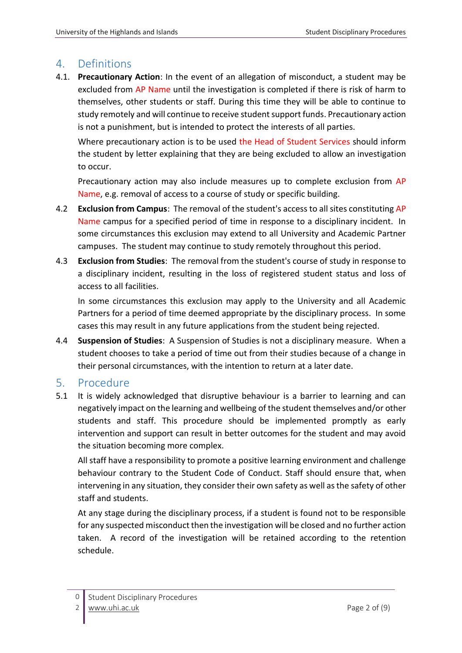## 4. Definitions

4.1. **Precautionary Action**: In the event of an allegation of misconduct, a student may be excluded from AP Name until the investigation is completed if there is risk of harm to themselves, other students or staff. During this time they will be able to continue to study remotely and will continue to receive student support funds. Precautionary action is not a punishment, but is intended to protect the interests of all parties.

Where precautionary action is to be used the Head of Student Services should inform the student by letter explaining that they are being excluded to allow an investigation to occur.

Precautionary action may also include measures up to complete exclusion from AP Name, e.g. removal of access to a course of study or specific building.

- 4.2 **Exclusion from Campus**: The removal of the student's access to all sites constituting AP Name campus for a specified period of time in response to a disciplinary incident. In some circumstances this exclusion may extend to all University and Academic Partner campuses. The student may continue to study remotely throughout this period.
- 4.3 **Exclusion from Studies**: The removal from the student's course of study in response to a disciplinary incident, resulting in the loss of registered student status and loss of access to all facilities.

In some circumstances this exclusion may apply to the University and all Academic Partners for a period of time deemed appropriate by the disciplinary process. In some cases this may result in any future applications from the student being rejected.

4.4 **Suspension of Studies**: A Suspension of Studies is not a disciplinary measure. When a student chooses to take a period of time out from their studies because of a change in their personal circumstances, with the intention to return at a later date.

## 5. Procedure

5.1 It is widely acknowledged that disruptive behaviour is a barrier to learning and can negatively impact on the learning and wellbeing of the student themselves and/or other students and staff. This procedure should be implemented promptly as early intervention and support can result in better outcomes for the student and may avoid the situation becoming more complex.

All staff have a responsibility to promote a positive learning environment and challenge behaviour contrary to the Student Code of Conduct. Staff should ensure that, when intervening in any situation, they consider their own safety as well as the safety of other staff and students.

At any stage during the disciplinary process, if a student is found not to be responsible for any suspected misconduct then the investigation will be closed and no further action taken. A record of the investigation will be retained according to the retention schedule.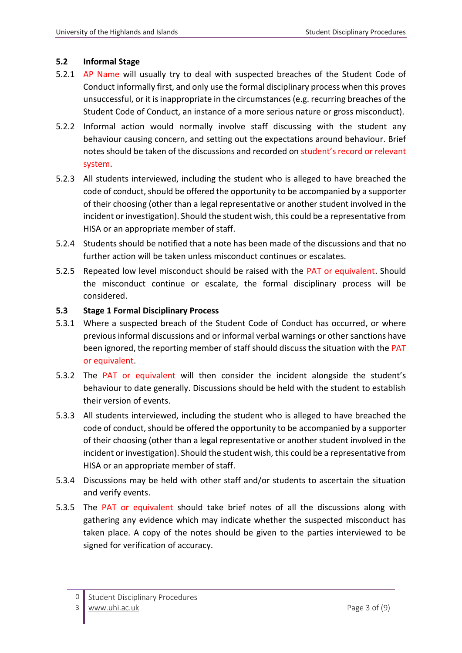#### **5.2 Informal Stage**

- 5.2.1 AP Name will usually try to deal with suspected breaches of the Student Code of Conduct informally first, and only use the formal disciplinary process when this proves unsuccessful, or it is inappropriate in the circumstances (e.g. recurring breaches of the Student Code of Conduct, an instance of a more serious nature or gross misconduct).
- 5.2.2 Informal action would normally involve staff discussing with the student any behaviour causing concern, and setting out the expectations around behaviour. Brief notes should be taken of the discussions and recorded on student's record or relevant system.
- 5.2.3 All students interviewed, including the student who is alleged to have breached the code of conduct, should be offered the opportunity to be accompanied by a supporter of their choosing (other than a legal representative or another student involved in the incident or investigation). Should the student wish, this could be a representative from HISA or an appropriate member of staff.
- 5.2.4 Students should be notified that a note has been made of the discussions and that no further action will be taken unless misconduct continues or escalates.
- 5.2.5 Repeated low level misconduct should be raised with the PAT or equivalent. Should the misconduct continue or escalate, the formal disciplinary process will be considered.

#### **5.3 Stage 1 Formal Disciplinary Process**

- 5.3.1 Where a suspected breach of the Student Code of Conduct has occurred, or where previous informal discussions and or informal verbal warnings or other sanctions have been ignored, the reporting member of staff should discuss the situation with the PAT or equivalent.
- 5.3.2 The PAT or equivalent will then consider the incident alongside the student's behaviour to date generally. Discussions should be held with the student to establish their version of events.
- 5.3.3 All students interviewed, including the student who is alleged to have breached the code of conduct, should be offered the opportunity to be accompanied by a supporter of their choosing (other than a legal representative or another student involved in the incident or investigation). Should the student wish, this could be a representative from HISA or an appropriate member of staff.
- 5.3.4 Discussions may be held with other staff and/or students to ascertain the situation and verify events.
- 5.3.5 The PAT or equivalent should take brief notes of all the discussions along with gathering any evidence which may indicate whether the suspected misconduct has taken place. A copy of the notes should be given to the parties interviewed to be signed for verification of accuracy.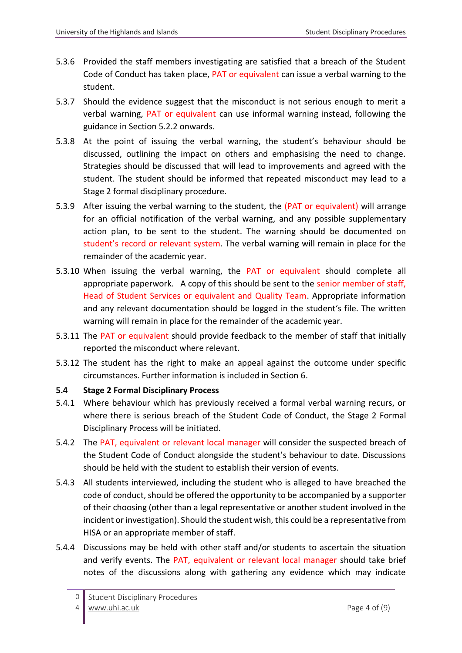- 5.3.6 Provided the staff members investigating are satisfied that a breach of the Student Code of Conduct has taken place, PAT or equivalent can issue a verbal warning to the student.
- 5.3.7 Should the evidence suggest that the misconduct is not serious enough to merit a verbal warning, PAT or equivalent can use informal warning instead, following the guidance in Section 5.2.2 onwards.
- 5.3.8 At the point of issuing the verbal warning, the student's behaviour should be discussed, outlining the impact on others and emphasising the need to change. Strategies should be discussed that will lead to improvements and agreed with the student. The student should be informed that repeated misconduct may lead to a Stage 2 formal disciplinary procedure.
- 5.3.9 After issuing the verbal warning to the student, the (PAT or equivalent) will arrange for an official notification of the verbal warning, and any possible supplementary action plan, to be sent to the student. The warning should be documented on student's record or relevant system. The verbal warning will remain in place for the remainder of the academic year.
- 5.3.10 When issuing the verbal warning, the PAT or equivalent should complete all appropriate paperwork. A copy of this should be sent to the senior member of staff, Head of Student Services or equivalent and Quality Team. Appropriate information and any relevant documentation should be logged in the student's file. The written warning will remain in place for the remainder of the academic year.
- 5.3.11 The PAT or equivalent should provide feedback to the member of staff that initially reported the misconduct where relevant.
- 5.3.12 The student has the right to make an appeal against the outcome under specific circumstances. Further information is included in Section 6.

#### **5.4 Stage 2 Formal Disciplinary Process**

- 5.4.1 Where behaviour which has previously received a formal verbal warning recurs, or where there is serious breach of the Student Code of Conduct, the Stage 2 Formal Disciplinary Process will be initiated.
- 5.4.2 The PAT, equivalent or relevant local manager will consider the suspected breach of the Student Code of Conduct alongside the student's behaviour to date. Discussions should be held with the student to establish their version of events.
- 5.4.3 All students interviewed, including the student who is alleged to have breached the code of conduct, should be offered the opportunity to be accompanied by a supporter of their choosing (other than a legal representative or another student involved in the incident or investigation). Should the student wish, this could be a representative from HISA or an appropriate member of staff.
- 5.4.4 Discussions may be held with other staff and/or students to ascertain the situation and verify events. The PAT, equivalent or relevant local manager should take brief notes of the discussions along with gathering any evidence which may indicate

 $\Omega$ Student Disciplinary Procedures [www.uhi.ac.uk](http://www.uhi.ac.uk/) Page 4 of (9)

<sup>4</sup>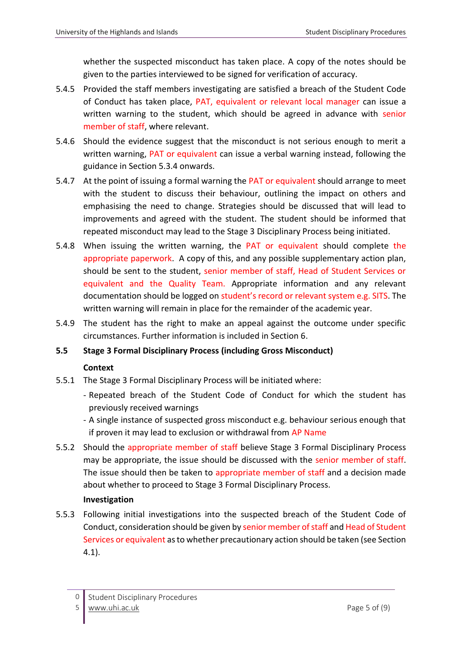whether the suspected misconduct has taken place. A copy of the notes should be given to the parties interviewed to be signed for verification of accuracy.

- 5.4.5 Provided the staff members investigating are satisfied a breach of the Student Code of Conduct has taken place, PAT, equivalent or relevant local manager can issue a written warning to the student, which should be agreed in advance with senior member of staff, where relevant.
- 5.4.6 Should the evidence suggest that the misconduct is not serious enough to merit a written warning, PAT or equivalent can issue a verbal warning instead, following the guidance in Section 5.3.4 onwards.
- 5.4.7 At the point of issuing a formal warning the PAT or equivalent should arrange to meet with the student to discuss their behaviour, outlining the impact on others and emphasising the need to change. Strategies should be discussed that will lead to improvements and agreed with the student. The student should be informed that repeated misconduct may lead to the Stage 3 Disciplinary Process being initiated.
- 5.4.8 When issuing the written warning, the PAT or equivalent should complete the appropriate paperwork. A copy of this, and any possible supplementary action plan, should be sent to the student, senior member of staff, Head of Student Services or equivalent and the Quality Team. Appropriate information and any relevant documentation should be logged on student's record or relevant system e.g. SITS. The written warning will remain in place for the remainder of the academic year.
- 5.4.9 The student has the right to make an appeal against the outcome under specific circumstances. Further information is included in Section 6.

#### **5.5 Stage 3 Formal Disciplinary Process (including Gross Misconduct)**

#### **Context**

- 5.5.1 The Stage 3 Formal Disciplinary Process will be initiated where:
	- Repeated breach of the Student Code of Conduct for which the student has previously received warnings
	- A single instance of suspected gross misconduct e.g. behaviour serious enough that if proven it may lead to exclusion or withdrawal from AP Name
- 5.5.2 Should the appropriate member of staff believe Stage 3 Formal Disciplinary Process may be appropriate, the issue should be discussed with the senior member of staff. The issue should then be taken to appropriate member of staff and a decision made about whether to proceed to Stage 3 Formal Disciplinary Process.

#### **Investigation**

5.5.3 Following initial investigations into the suspected breach of the Student Code of Conduct, consideration should be given by senior member of staff and Head of Student Services or equivalent as to whether precautionary action should be taken (see Section 4.1).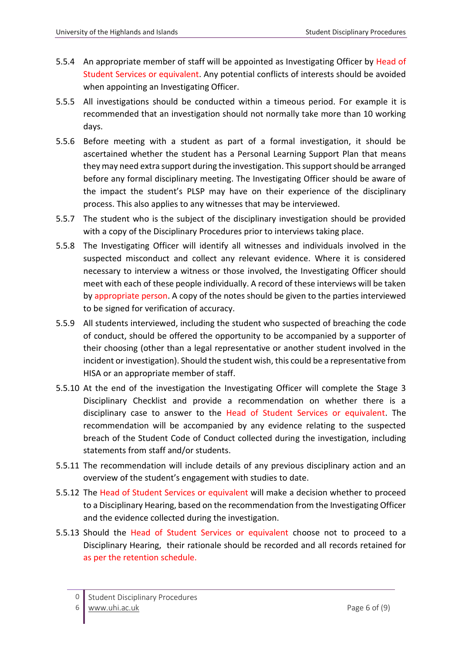- 5.5.4 An appropriate member of staff will be appointed as Investigating Officer by Head of Student Services or equivalent. Any potential conflicts of interests should be avoided when appointing an Investigating Officer.
- 5.5.5 All investigations should be conducted within a timeous period. For example it is recommended that an investigation should not normally take more than 10 working days.
- 5.5.6 Before meeting with a student as part of a formal investigation, it should be ascertained whether the student has a Personal Learning Support Plan that means they may need extra support during the investigation. This support should be arranged before any formal disciplinary meeting. The Investigating Officer should be aware of the impact the student's PLSP may have on their experience of the disciplinary process. This also applies to any witnesses that may be interviewed.
- 5.5.7 The student who is the subject of the disciplinary investigation should be provided with a copy of the Disciplinary Procedures prior to interviews taking place.
- 5.5.8 The Investigating Officer will identify all witnesses and individuals involved in the suspected misconduct and collect any relevant evidence. Where it is considered necessary to interview a witness or those involved, the Investigating Officer should meet with each of these people individually. A record of these interviews will be taken by appropriate person. A copy of the notes should be given to the parties interviewed to be signed for verification of accuracy.
- 5.5.9 All students interviewed, including the student who suspected of breaching the code of conduct, should be offered the opportunity to be accompanied by a supporter of their choosing (other than a legal representative or another student involved in the incident or investigation). Should the student wish, this could be a representative from HISA or an appropriate member of staff.
- 5.5.10 At the end of the investigation the Investigating Officer will complete the Stage 3 Disciplinary Checklist and provide a recommendation on whether there is a disciplinary case to answer to the Head of Student Services or equivalent. The recommendation will be accompanied by any evidence relating to the suspected breach of the Student Code of Conduct collected during the investigation, including statements from staff and/or students.
- 5.5.11 The recommendation will include details of any previous disciplinary action and an overview of the student's engagement with studies to date.
- 5.5.12 The Head of Student Services or equivalent will make a decision whether to proceed to a Disciplinary Hearing, based on the recommendation from the Investigating Officer and the evidence collected during the investigation.
- 5.5.13 Should the Head of Student Services or equivalent choose not to proceed to a Disciplinary Hearing, their rationale should be recorded and all records retained for as per the retention schedule.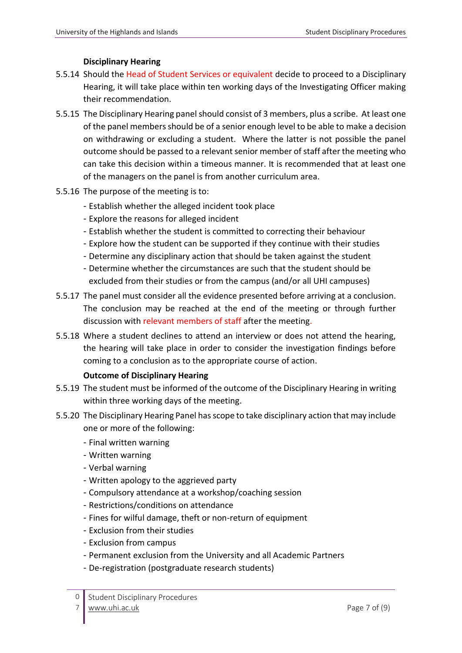#### **Disciplinary Hearing**

- 5.5.14 Should the Head of Student Services or equivalent decide to proceed to a Disciplinary Hearing, it will take place within ten working days of the Investigating Officer making their recommendation.
- 5.5.15 The Disciplinary Hearing panel should consist of 3 members, plus a scribe. At least one of the panel members should be of a senior enough level to be able to make a decision on withdrawing or excluding a student. Where the latter is not possible the panel outcome should be passed to a relevant senior member of staff after the meeting who can take this decision within a timeous manner. It is recommended that at least one of the managers on the panel is from another curriculum area.
- 5.5.16 The purpose of the meeting is to:
	- Establish whether the alleged incident took place
	- Explore the reasons for alleged incident
	- Establish whether the student is committed to correcting their behaviour
	- Explore how the student can be supported if they continue with their studies
	- Determine any disciplinary action that should be taken against the student
	- Determine whether the circumstances are such that the student should be excluded from their studies or from the campus (and/or all UHI campuses)
- 5.5.17 The panel must consider all the evidence presented before arriving at a conclusion. The conclusion may be reached at the end of the meeting or through further discussion with relevant members of staff after the meeting.
- 5.5.18 Where a student declines to attend an interview or does not attend the hearing, the hearing will take place in order to consider the investigation findings before coming to a conclusion as to the appropriate course of action.

#### **Outcome of Disciplinary Hearing**

- 5.5.19 The student must be informed of the outcome of the Disciplinary Hearing in writing within three working days of the meeting.
- 5.5.20 The Disciplinary Hearing Panel has scope to take disciplinary action that may include one or more of the following:
	- Final written warning
	- Written warning
	- Verbal warning
	- Written apology to the aggrieved party
	- Compulsory attendance at a workshop/coaching session
	- Restrictions/conditions on attendance
	- Fines for wilful damage, theft or non-return of equipment
	- Exclusion from their studies
	- Exclusion from campus
	- Permanent exclusion from the University and all Academic Partners
	- De-registration (postgraduate research students)
	- $\Omega$ Student Disciplinary Procedures

7 [www.uhi.ac.uk](http://www.uhi.ac.uk/) Page 7 of (9)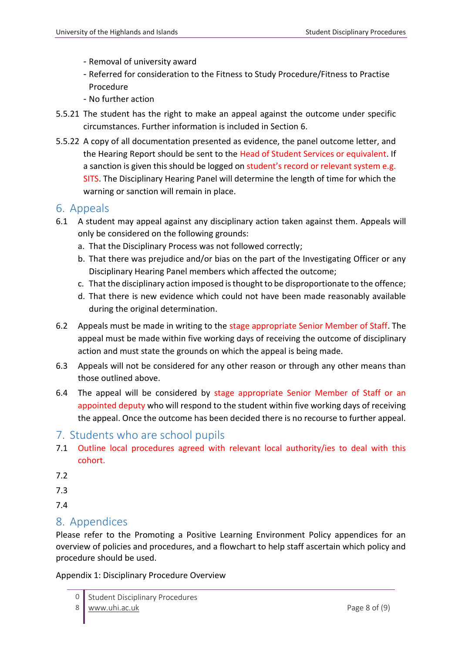- Removal of university award
- Referred for consideration to the Fitness to Study Procedure/Fitness to Practise Procedure
- No further action
- 5.5.21 The student has the right to make an appeal against the outcome under specific circumstances. Further information is included in Section 6.
- 5.5.22 A copy of all documentation presented as evidence, the panel outcome letter, and the Hearing Report should be sent to the Head of Student Services or equivalent. If a sanction is given this should be logged on student's record or relevant system e.g. SITS. The Disciplinary Hearing Panel will determine the length of time for which the warning or sanction will remain in place.

### 6. Appeals

- 6.1 A student may appeal against any disciplinary action taken against them. Appeals will only be considered on the following grounds:
	- a. That the Disciplinary Process was not followed correctly;
	- b. That there was prejudice and/or bias on the part of the Investigating Officer or any Disciplinary Hearing Panel members which affected the outcome;
	- c. That the disciplinary action imposed is thought to be disproportionate to the offence;
	- d. That there is new evidence which could not have been made reasonably available during the original determination.
- 6.2 Appeals must be made in writing to the stage appropriate Senior Member of Staff. The appeal must be made within five working days of receiving the outcome of disciplinary action and must state the grounds on which the appeal is being made.
- 6.3 Appeals will not be considered for any other reason or through any other means than those outlined above.
- 6.4 The appeal will be considered by stage appropriate Senior Member of Staff or an appointed deputy who will respond to the student within five working days of receiving the appeal. Once the outcome has been decided there is no recourse to further appeal.
- 7. Students who are school pupils
- 7.1 Outline local procedures agreed with relevant local authority/ies to deal with this cohort.
- 7.2

7.3

7.4

## 8. Appendices

Please refer to the Promoting a Positive Learning Environment Policy appendices for an overview of policies and procedures, and a flowchart to help staff ascertain which policy and procedure should be used.

Appendix 1: Disciplinary Procedure Overview